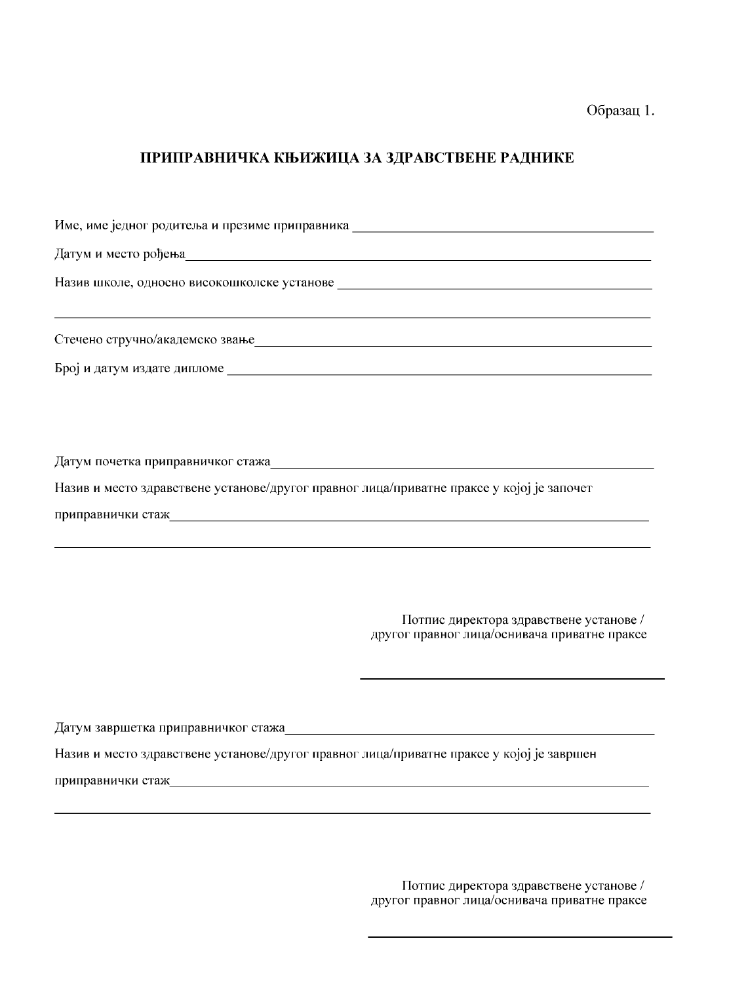Образац 1.

# ПРИПРАВНИЧКА КЊИЖИЦА ЗА ЗДРАВСТВЕНЕ РАДНИКЕ

| Датум и место рођења Припанија и припани по припани по припани по припани по припани по припани по припани по |
|---------------------------------------------------------------------------------------------------------------|
|                                                                                                               |
|                                                                                                               |
|                                                                                                               |
|                                                                                                               |
|                                                                                                               |
|                                                                                                               |
|                                                                                                               |
|                                                                                                               |
| Назив и место здравствене установе/другог правног лица/приватне праксе у којој је започет                     |
| приправнички стаж<br>                                                                                         |
|                                                                                                               |
|                                                                                                               |
|                                                                                                               |
| Потпис директора здравствене установе /<br>другог правног лица/оснивача приватне праксе                       |

Датум завршетка приправничког стажа

Назив и место здравствене установе/другог правног лица/приватне праксе у којој је завршен

приправнички стаж

Потпис директора здравствене установе / другог правног лица/оснивача приватне праксе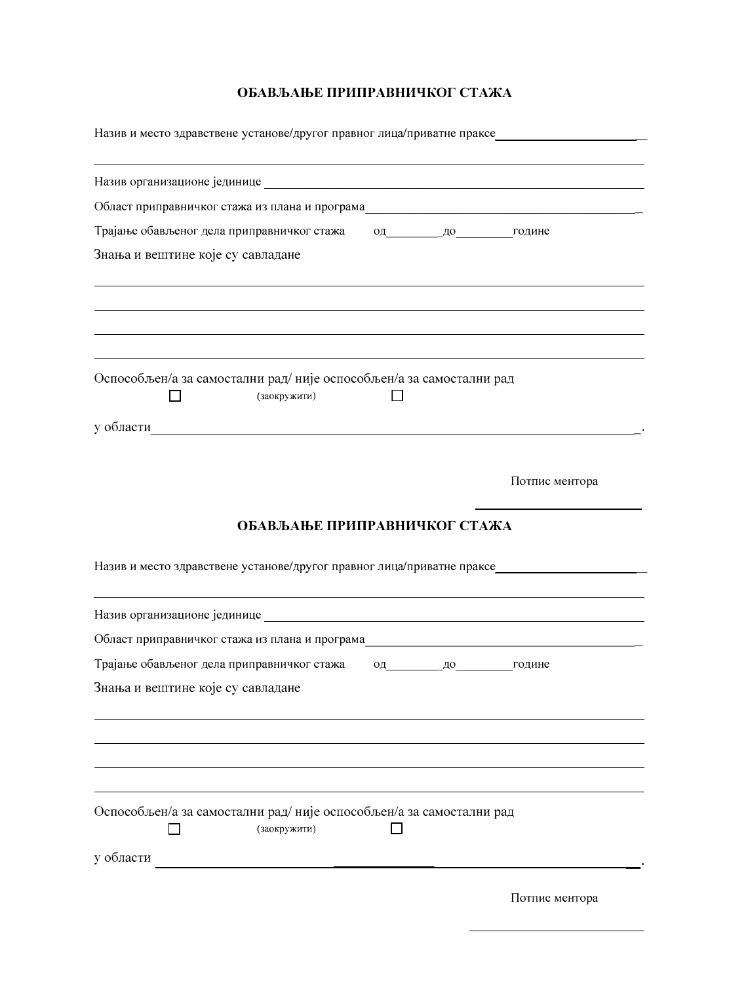| Назив и место здравствене установе/другог правног лица/приватне праксе_____________________________               |                |
|-------------------------------------------------------------------------------------------------------------------|----------------|
|                                                                                                                   |                |
| Област приправничког стажа из плана и програма подаления програма при програма при приправничког стажа            |                |
| Трајање обављеног дела приправничког стажа од до до године                                                        |                |
| Знања и вештине које су савладане                                                                                 |                |
|                                                                                                                   |                |
| Оспособљен/а за самостални рад/није оспособљен/а за самостални рад<br>(заокружити)                                |                |
| у области                                                                                                         |                |
|                                                                                                                   | Потпис ментора |
| ОБАВЉАЊЕ ПРИПРАВНИЧКОГ СТАЖА<br>Назив и место здравствене установе/другог правног лица/приватне праксе___________ |                |
| Назив организационе јединице Поветски политички поветски поветски поветски поветски поветски поветски поветски    |                |
| Област приправничког стажа из плана и програма                                                                    |                |
| Трајање обављеног дела приправничког стажа<br>од до године                                                        |                |
| Знања и вештине које су савладане                                                                                 |                |
|                                                                                                                   |                |
| Оспособљен/а за самостални рад/није оспособљен/а за самостални рад<br>(заокружити)                                |                |
| у области                                                                                                         |                |
|                                                                                                                   | Потпис ментора |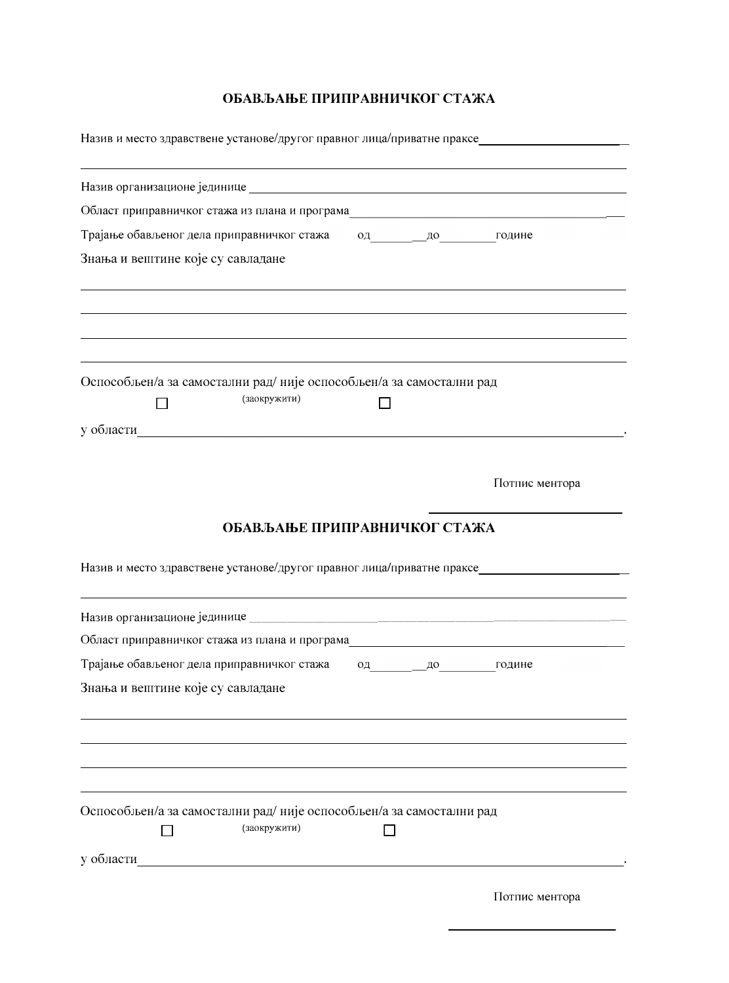Назив и место здравствене установе/другог правног лица/приватне праксе\_\_\_\_\_\_\_\_\_\_\_\_\_\_\_\_\_\_\_\_\_\_\_\_\_\_\_\_\_

| Област приправничког стажа из плана и програма простания програма при приправничког стажа из плана и програма |                |
|---------------------------------------------------------------------------------------------------------------|----------------|
| Трајање обављеног дела приправничког стажа од до до године                                                    |                |
| Знања и вештине које су савладане                                                                             |                |
|                                                                                                               |                |
|                                                                                                               |                |
|                                                                                                               |                |
|                                                                                                               |                |
| Оспособљен/а за самостални рад/није оспособљен/а за самостални рад                                            |                |
| (заокружити)                                                                                                  |                |
| у области<br><u> 1989 - Johann Stein, Amerikaansk politiker (</u>                                             |                |
|                                                                                                               |                |
|                                                                                                               | Потпис ментора |
|                                                                                                               |                |
| ОБАВЉАЊЕ ПРИПРАВНИЧКОГ СТАЖА                                                                                  |                |
|                                                                                                               |                |
| Назив и место здравствене установе/другог правног лица/приватне праксе                                        |                |
|                                                                                                               |                |
|                                                                                                               |                |
| Област приправничког стажа из плана и програма последните по податате по последните по последните по          |                |
| Трајање обављеног дела приправничког стажа<br>од до године                                                    |                |
| Знања и вештине које су савладане                                                                             |                |
|                                                                                                               |                |
|                                                                                                               |                |
|                                                                                                               |                |
|                                                                                                               |                |
| Оспособљен/а за самостални рад/није оспособљен/а за самостални рад<br>(заокружити)                            |                |
|                                                                                                               |                |
| у области                                                                                                     |                |
|                                                                                                               | Потпис ментора |
|                                                                                                               |                |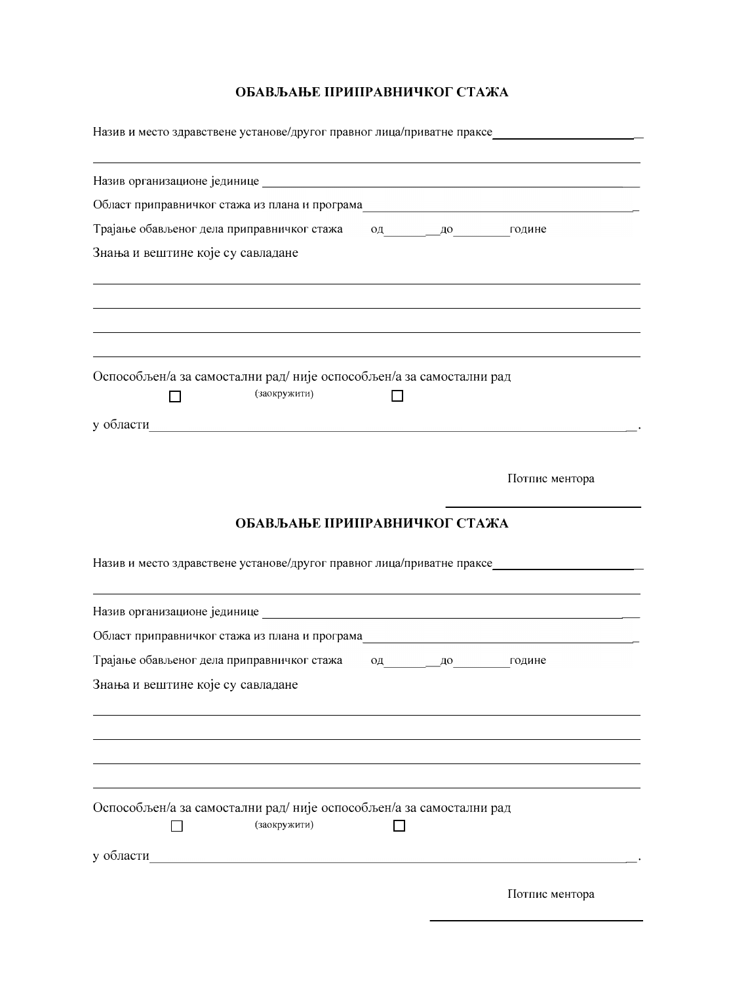| Назив и место здравствене установе/другог правног лица/приватне праксе_____________________________                               |              |                |
|-----------------------------------------------------------------------------------------------------------------------------------|--------------|----------------|
|                                                                                                                                   |              |                |
| Област приправничког стажа из плана и програма подаления програма при програма при приправничког стажа                            |              |                |
| Трајање обављеног дела приправничког стажа од до до године                                                                        |              |                |
| Знања и вештине које су савладане                                                                                                 |              |                |
|                                                                                                                                   |              |                |
| Оспособљен/а за самостални рад/није оспособљен/а за самостални рад<br>(заокружити)                                                |              |                |
| у области по поставке по поставке и по поставке и по поставке и по поставке и по поставке и по по                                 |              |                |
|                                                                                                                                   |              | Потпис ментора |
| ОБАВЉАЊЕ ПРИПРАВНИЧКОГ СТАЖА                                                                                                      |              |                |
| Назив и место здравствене установе/другог правног лица/приватне праксе_________                                                   |              |                |
|                                                                                                                                   |              |                |
| Област приправничког стажа из плана и програма__________________________________                                                  |              |                |
| Трајање обављеног дела приправничког стажа                                                                                        | од до године |                |
| Знања и вештине које су савладане                                                                                                 |              |                |
|                                                                                                                                   |              |                |
|                                                                                                                                   |              |                |
| Оспособљен/а за самостални рад/није оспособљен/а за самостални рад<br>(заокружити)                                                |              |                |
| у области<br><u> 1980 - Jan Samuel Barbara, martin de la populación de la propia de la propia de la propia de la propia de la</u> |              |                |
|                                                                                                                                   |              | Потпис ментора |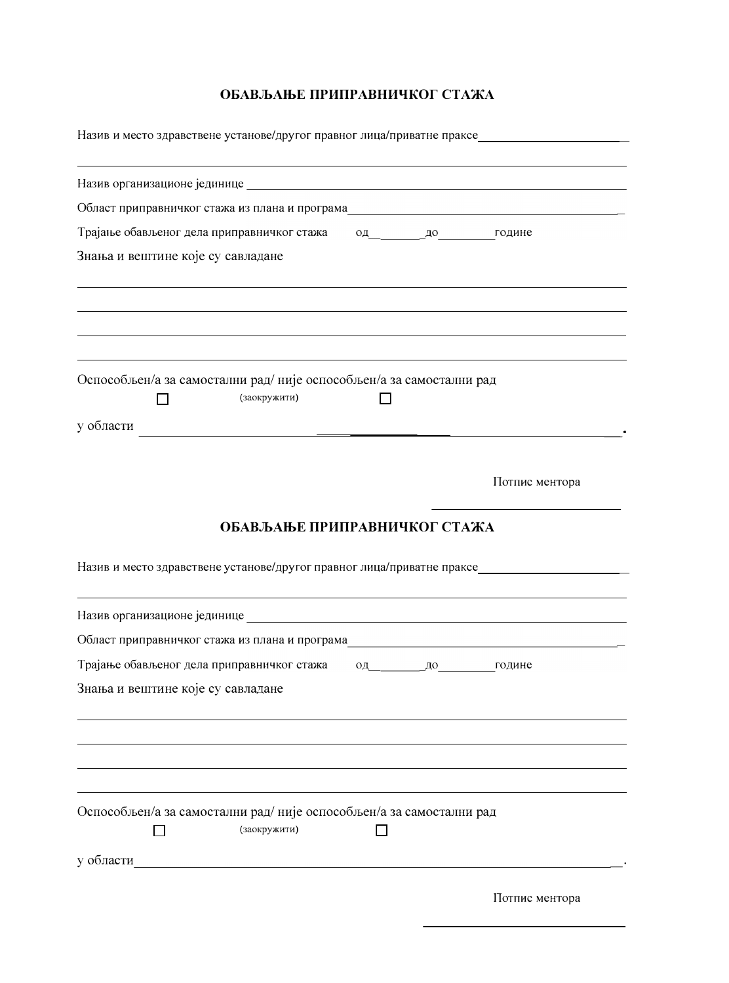| Област приправничког стажа из плана и програма последательно по последните приправничког стажа из плана и програма |  |                |
|--------------------------------------------------------------------------------------------------------------------|--|----------------|
| Трајање обављеног дела приправничког стажа од до до године                                                         |  |                |
| Знања и вештине које су савладане                                                                                  |  |                |
|                                                                                                                    |  |                |
| Оспособљен/а за самостални рад/није оспособљен/а за самостални рад                                                 |  |                |
| (заокружити)                                                                                                       |  |                |
| у области                                                                                                          |  |                |
|                                                                                                                    |  |                |
|                                                                                                                    |  | Потпис ментора |
| Назив и место здравствене установе/другог правног лица/приватне праксе_____________________________                |  |                |
|                                                                                                                    |  |                |
|                                                                                                                    |  |                |
| Област приправничког стажа из плана и програма последательно по податательно по податать по последните последните  |  |                |
|                                                                                                                    |  | од до године   |
| Трајање обављеног дела приправничког стажа<br>Знања и вештине које су савладане                                    |  |                |
| Оспособљен/а за самостални рад/није оспособљен/а за самостални рад<br>(заокружити)                                 |  |                |
| у области по принципедии с принципедии с принципедии с принципедии с принципедии с принципедии с принципедии с     |  |                |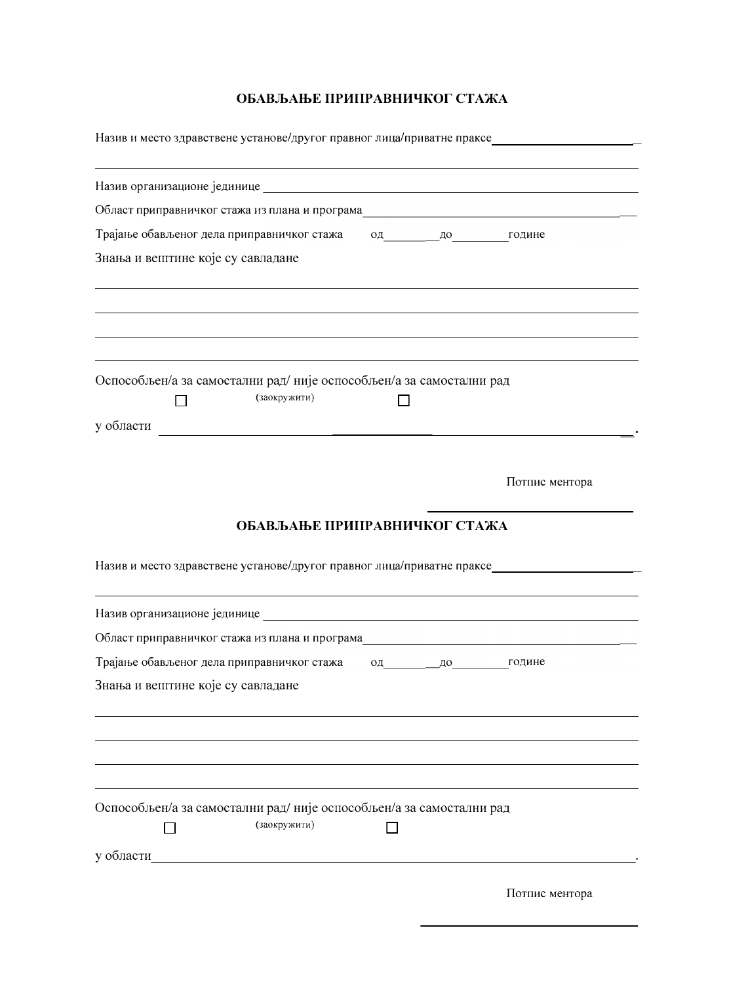Назив и место здравствене установе/другог правног лица/приватне праксе\_\_\_\_\_\_\_\_\_\_\_\_\_\_\_\_\_\_\_\_\_\_\_\_\_\_\_\_\_ Назив организационе јединице Област приправничког стажа из плана и програма од до године Трајање обављеног дела приправничког стажа Знања и вештине које су савладане Оспособљен/а за самостални рад/није оспособљен/а за самостални рад  $\Box$ (заокружити)  $\Box$ у области  $\overline{\phantom{a}}$ Потпис ментора ОБАВЉАЊЕ ПРИПРАВНИЧКОГ СТАЖА Назив и место здравствене установе/другог правног лица/приватне праксе Област приправничког стажа из плана и програма Трајање обављеног дела приправничког стажа од до године Знања и вештине које су савладане Оспособљен/а за самостални рад/није оспособљен/а за самостални рад (заокружити)  $\Box$  $\Box$ **Contract Contract Contract Contract Contract** Потпис ментора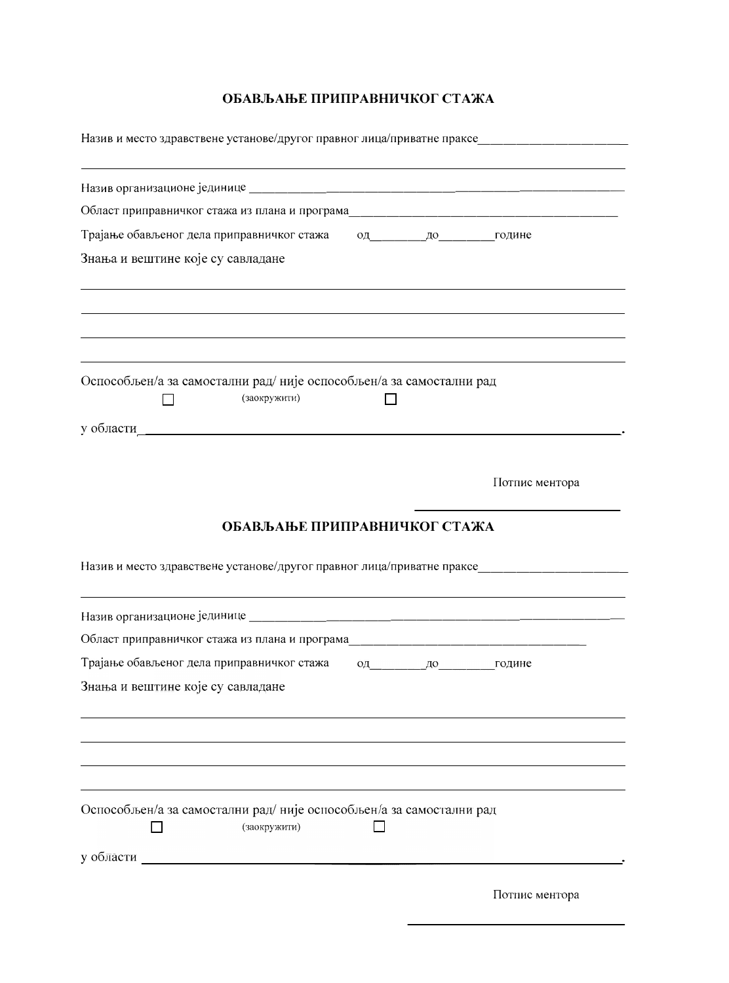| Област приправничког стажа из плана и програма простания програма при принципли по последните при принципли при |              |                |
|-----------------------------------------------------------------------------------------------------------------|--------------|----------------|
|                                                                                                                 |              |                |
| Знања и вештине које су савладане                                                                               |              |                |
|                                                                                                                 |              |                |
| Оспособљен/а за самостални рад/није оспособљен/а за самостални рад                                              |              |                |
| (заокружити)                                                                                                    |              |                |
|                                                                                                                 |              |                |
|                                                                                                                 |              | Потпис ментора |
| ОБАВЉАЊЕ ПРИПРАВНИЧКОГ СТАЖА                                                                                    |              |                |
| Назив и место здравствене установе/другог правног лица/приватне праксе_____________________________             |              |                |
|                                                                                                                 |              |                |
|                                                                                                                 |              |                |
| Трајање обављеног дела приправничког стажа                                                                      | од до године |                |
| Знања и вештине које су савладане                                                                               |              |                |
|                                                                                                                 |              |                |
|                                                                                                                 |              |                |
| Оспособљен/а за самостални рад/није оспособљен/а за самостални рад<br>(заокружити)                              |              |                |
|                                                                                                                 |              |                |
| у области <u>————————————————</u>                                                                               |              |                |
|                                                                                                                 |              | Потпис ментора |